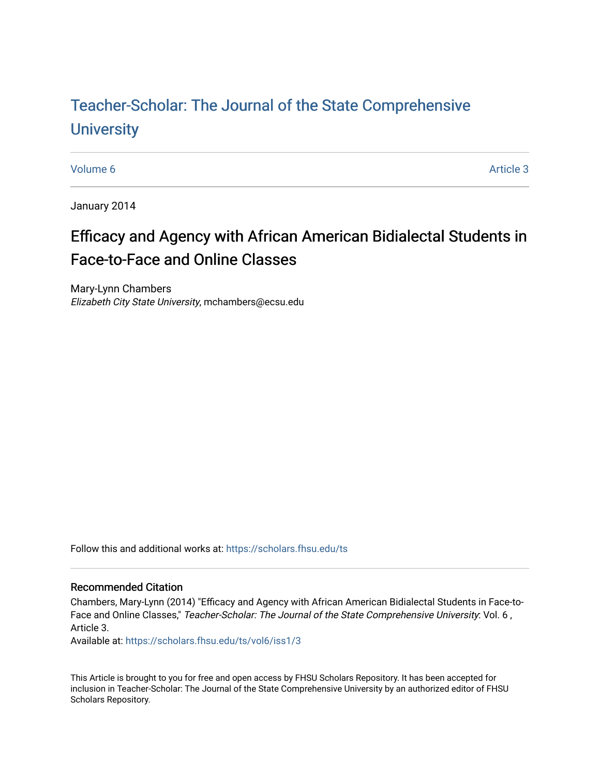# [Teacher-Scholar: The Journal of the State Comprehensive](https://scholars.fhsu.edu/ts) **University**

[Volume 6](https://scholars.fhsu.edu/ts/vol6) Article 3

January 2014

## Efficacy and Agency with African American Bidialectal Students in Face-to-Face and Online Classes

Mary-Lynn Chambers Elizabeth City State University, mchambers@ecsu.edu

Follow this and additional works at: [https://scholars.fhsu.edu/ts](https://scholars.fhsu.edu/ts?utm_source=scholars.fhsu.edu%2Fts%2Fvol6%2Fiss1%2F3&utm_medium=PDF&utm_campaign=PDFCoverPages)

#### Recommended Citation

Chambers, Mary-Lynn (2014) "Efficacy and Agency with African American Bidialectal Students in Face-to-Face and Online Classes," Teacher-Scholar: The Journal of the State Comprehensive University: Vol. 6, Article 3.

Available at: [https://scholars.fhsu.edu/ts/vol6/iss1/3](https://scholars.fhsu.edu/ts/vol6/iss1/3?utm_source=scholars.fhsu.edu%2Fts%2Fvol6%2Fiss1%2F3&utm_medium=PDF&utm_campaign=PDFCoverPages)

This Article is brought to you for free and open access by FHSU Scholars Repository. It has been accepted for inclusion in Teacher-Scholar: The Journal of the State Comprehensive University by an authorized editor of FHSU Scholars Repository.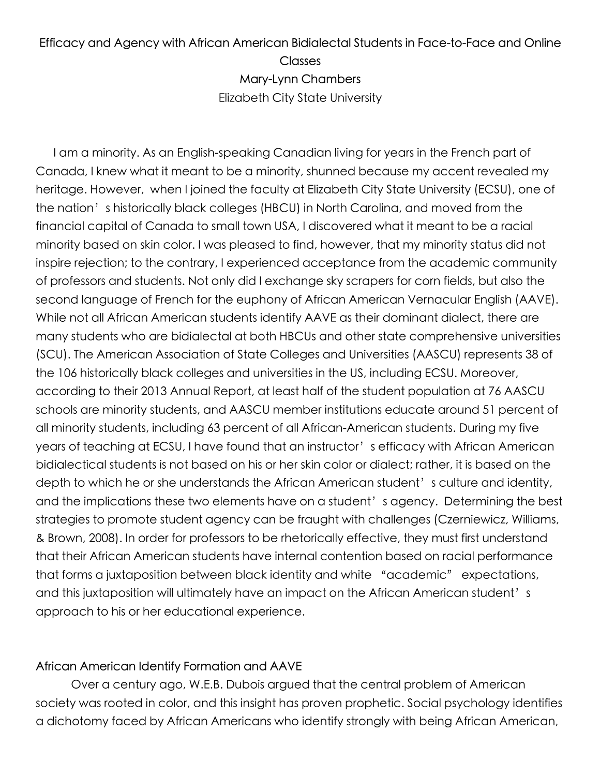## Efficacy and Agency with African American Bidialectal Students in Face-to-Face and Online **Classes** Mary-Lynn Chambers Elizabeth City State University

I am a minority. As an English-speaking Canadian living for years in the French part of Canada, I knew what it meant to be a minority, shunned because my accent revealed my heritage. However, when I joined the faculty at Elizabeth City State University (ECSU), one of the nation's historically black colleges (HBCU) in North Carolina, and moved from the financial capital of Canada to small town USA, I discovered what it meant to be a racial minority based on skin color. I was pleased to find, however, that my minority status did not inspire rejection; to the contrary, I experienced acceptance from the academic community of professors and students. Not only did I exchange sky scrapers for corn fields, but also the second language of French for the euphony of African American Vernacular English (AAVE). While not all African American students identify AAVE as their dominant dialect, there are many students who are bidialectal at both HBCUs and other state comprehensive universities (SCU). The American Association of State Colleges and Universities (AASCU) represents 38 of the 106 historically black colleges and universities in the US, including ECSU. Moreover, according to their 2013 Annual Report, at least half of the student population at 76 AASCU schools are minority students, and AASCU member institutions educate around 51 percent of all minority students, including 63 percent of all African-American students. During my five years of teaching at ECSU, I have found that an instructor's efficacy with African American bidialectical students is not based on his or her skin color or dialect; rather, it is based on the depth to which he or she understands the African American student's culture and identity, and the implications these two elements have on a student's agency. Determining the best strategies to promote student agency can be fraught with challenges (Czerniewicz, Williams, & Brown, 2008). In order for professors to be rhetorically effective, they must first understand that their African American students have internal contention based on racial performance that forms a juxtaposition between black identity and white "academic" expectations, and this juxtaposition will ultimately have an impact on the African American student's approach to his or her educational experience.

#### African American Identify Formation and AAVE

Over a century ago, W.E.B. Dubois argued that the central problem of American society was rooted in color, and this insight has proven prophetic. Social psychology identifies a dichotomy faced by African Americans who identify strongly with being African American,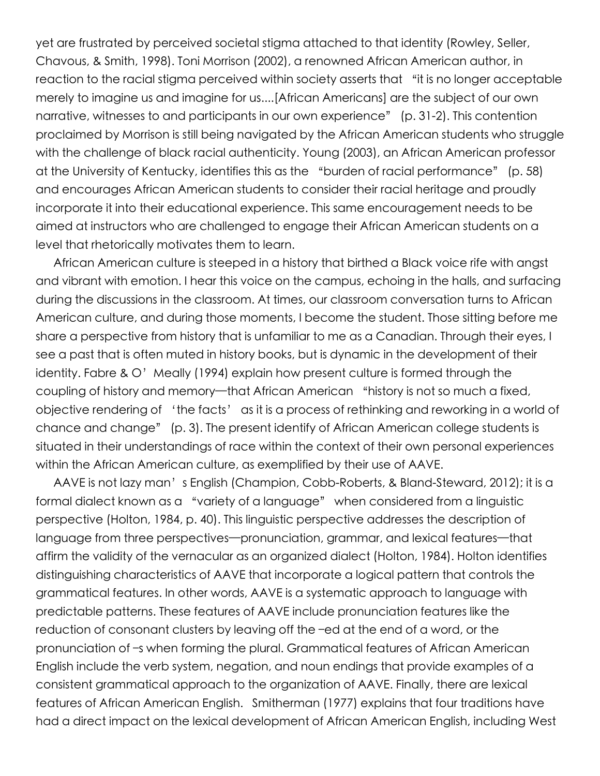yet are frustrated by perceived societal stigma attached to that identity (Rowley, Seller, Chavous, & Smith, 1998). Toni Morrison (2002), a renowned African American author, in reaction to the racial stigma perceived within society asserts that "it is no longer acceptable merely to imagine us and imagine for us....[African Americans] are the subject of our own narrative, witnesses to and participants in our own experience" (p. 31-2). This contention proclaimed by Morrison is still being navigated by the African American students who struggle with the challenge of black racial authenticity. Young (2003), an African American professor at the University of Kentucky, identifies this as the "burden of racial performance" (p. 58) and encourages African American students to consider their racial heritage and proudly incorporate it into their educational experience. This same encouragement needs to be aimed at instructors who are challenged to engage their African American students on a level that rhetorically motivates them to learn.

African American culture is steeped in a history that birthed a Black voice rife with angst and vibrant with emotion. I hear this voice on the campus, echoing in the halls, and surfacing during the discussions in the classroom. At times, our classroom conversation turns to African American culture, and during those moments, I become the student. Those sitting before me share a perspective from history that is unfamiliar to me as a Canadian. Through their eyes, I see a past that is often muted in history books, but is dynamic in the development of their identity. Fabre & O'Meally (1994) explain how present culture is formed through the coupling of history and memory—that African American "history is not so much a fixed, objective rendering of 'the facts' as it is a process of rethinking and reworking in a world of chance and change" (p. 3). The present identify of African American college students is situated in their understandings of race within the context of their own personal experiences within the African American culture, as exemplified by their use of AAVE.

AAVE is not lazy man's English (Champion, Cobb-Roberts, & Bland-Steward, 2012); it is a formal dialect known as a "variety of a language" when considered from a linguistic perspective (Holton, 1984, p. 40). This linguistic perspective addresses the description of language from three perspectives—pronunciation, grammar, and lexical features—that affirm the validity of the vernacular as an organized dialect (Holton, 1984). Holton identifies distinguishing characteristics of AAVE that incorporate a logical pattern that controls the grammatical features. In other words, AAVE is a systematic approach to language with predictable patterns. These features of AAVE include pronunciation features like the reduction of consonant clusters by leaving off the –ed at the end of a word, or the pronunciation of –s when forming the plural. Grammatical features of African American English include the verb system, negation, and noun endings that provide examples of a consistent grammatical approach to the organization of AAVE. Finally, there are lexical features of African American English. Smitherman (1977) explains that four traditions have had a direct impact on the lexical development of African American English, including West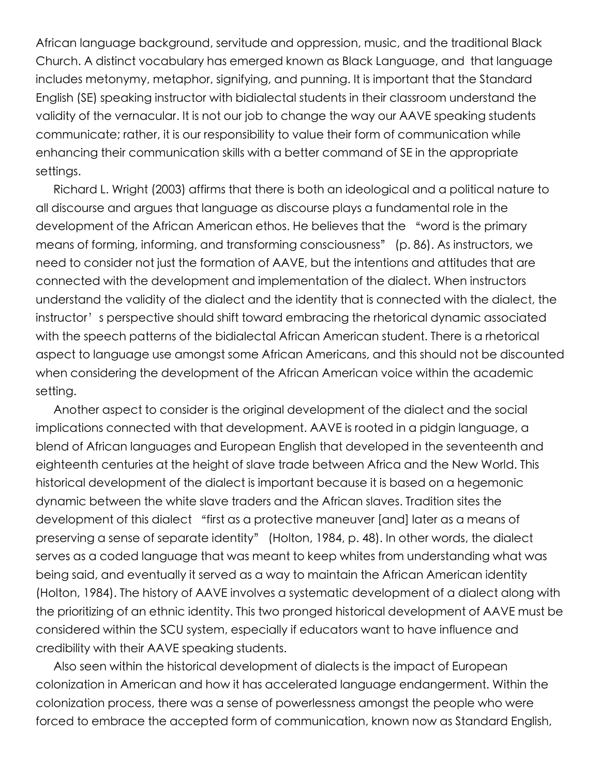African language background, servitude and oppression, music, and the traditional Black Church. A distinct vocabulary has emerged known as Black Language, and that language includes metonymy, metaphor, signifying, and punning. It is important that the Standard English (SE) speaking instructor with bidialectal students in their classroom understand the validity of the vernacular. It is not our job to change the way our AAVE speaking students communicate; rather, it is our responsibility to value their form of communication while enhancing their communication skills with a better command of SE in the appropriate settings.

Richard L. Wright (2003) affirms that there is both an ideological and a political nature to all discourse and argues that language as discourse plays a fundamental role in the development of the African American ethos. He believes that the "word is the primary means of forming, informing, and transforming consciousness" (p. 86). As instructors, we need to consider not just the formation of AAVE, but the intentions and attitudes that are connected with the development and implementation of the dialect. When instructors understand the validity of the dialect and the identity that is connected with the dialect, the instructor's perspective should shift toward embracing the rhetorical dynamic associated with the speech patterns of the bidialectal African American student. There is a rhetorical aspect to language use amongst some African Americans, and this should not be discounted when considering the development of the African American voice within the academic setting.

Another aspect to consider is the original development of the dialect and the social implications connected with that development. AAVE is rooted in a pidgin language, a blend of African languages and European English that developed in the seventeenth and eighteenth centuries at the height of slave trade between Africa and the New World. This historical development of the dialect is important because it is based on a hegemonic dynamic between the white slave traders and the African slaves. Tradition sites the development of this dialect "first as a protective maneuver [and] later as a means of preserving a sense of separate identity" (Holton, 1984, p. 48). In other words, the dialect serves as a coded language that was meant to keep whites from understanding what was being said, and eventually it served as a way to maintain the African American identity (Holton, 1984). The history of AAVE involves a systematic development of a dialect along with the prioritizing of an ethnic identity. This two pronged historical development of AAVE must be considered within the SCU system, especially if educators want to have influence and credibility with their AAVE speaking students.

Also seen within the historical development of dialects is the impact of European colonization in American and how it has accelerated language endangerment. Within the colonization process, there was a sense of powerlessness amongst the people who were forced to embrace the accepted form of communication, known now as Standard English,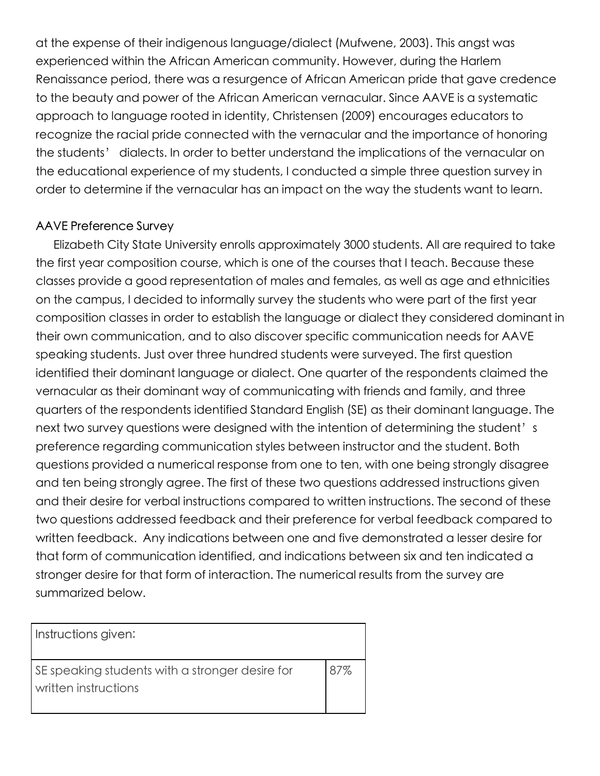at the expense of their indigenous language/dialect (Mufwene, 2003). This angst was experienced within the African American community. However, during the Harlem Renaissance period, there was a resurgence of African American pride that gave credence to the beauty and power of the African American vernacular. Since AAVE is a systematic approach to language rooted in identity, Christensen (2009) encourages educators to recognize the racial pride connected with the vernacular and the importance of honoring the students' dialects. In order to better understand the implications of the vernacular on the educational experience of my students, I conducted a simple three question survey in order to determine if the vernacular has an impact on the way the students want to learn.

### AAVE Preference Survey

Elizabeth City State University enrolls approximately 3000 students. All are required to take the first year composition course, which is one of the courses that I teach. Because these classes provide a good representation of males and females, as well as age and ethnicities on the campus, I decided to informally survey the students who were part of the first year composition classes in order to establish the language or dialect they considered dominant in their own communication, and to also discover specific communication needs for AAVE speaking students. Just over three hundred students were surveyed. The first question identified their dominant language or dialect. One quarter of the respondents claimed the vernacular as their dominant way of communicating with friends and family, and three quarters of the respondents identified Standard English (SE) as their dominant language. The next two survey questions were designed with the intention of determining the student's preference regarding communication styles between instructor and the student. Both questions provided a numerical response from one to ten, with one being strongly disagree and ten being strongly agree. The first of these two questions addressed instructions given and their desire for verbal instructions compared to written instructions. The second of these two questions addressed feedback and their preference for verbal feedback compared to written feedback. Any indications between one and five demonstrated a lesser desire for that form of communication identified, and indications between six and ten indicated a stronger desire for that form of interaction. The numerical results from the survey are summarized below.

| Instructions given:                                                     |     |
|-------------------------------------------------------------------------|-----|
| SE speaking students with a stronger desire for<br>written instructions | 87% |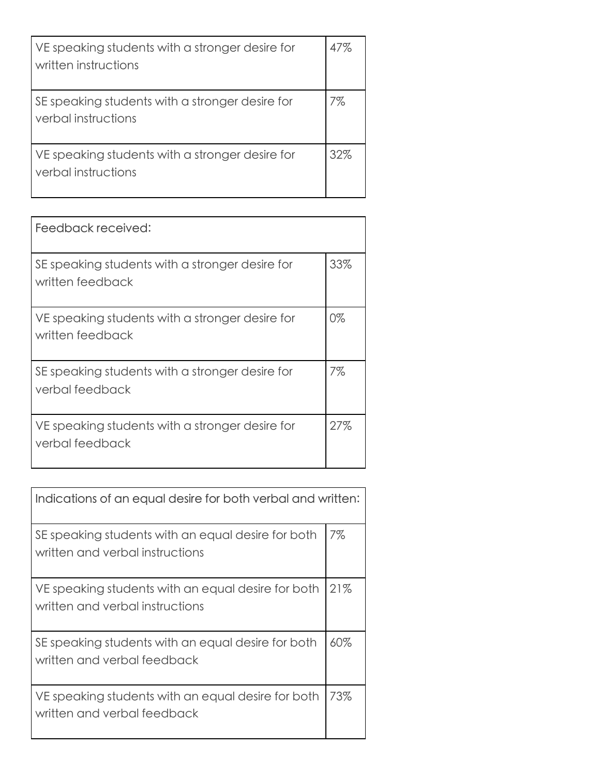| VE speaking students with a stronger desire for<br>written instructions | 47% |
|-------------------------------------------------------------------------|-----|
| SE speaking students with a stronger desire for<br>verbal instructions  | 7%  |
| VE speaking students with a stronger desire for<br>verbal instructions  | 32% |

| Feedback received:                                                  |     |
|---------------------------------------------------------------------|-----|
| SE speaking students with a stronger desire for<br>written feedback | 33% |
| VE speaking students with a stronger desire for<br>written feedback | 0%  |
| SE speaking students with a stronger desire for<br>verbal feedback  | 7%  |
| VE speaking students with a stronger desire for<br>verbal feedback  | 27% |

| Indications of an equal desire for both verbal and written:                           |     |
|---------------------------------------------------------------------------------------|-----|
| SE speaking students with an equal desire for both<br>written and verbal instructions | 7%  |
| VE speaking students with an equal desire for both<br>written and verbal instructions | 21% |
| SE speaking students with an equal desire for both<br>written and verbal feedback     | 60% |
| VE speaking students with an equal desire for both<br>written and verbal feedback     | 73% |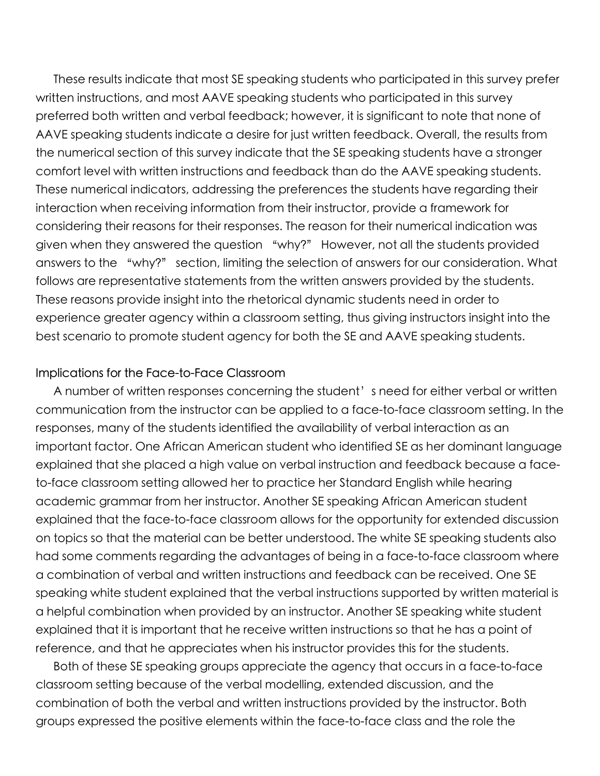These results indicate that most SE speaking students who participated in this survey prefer written instructions, and most AAVE speaking students who participated in this survey preferred both written and verbal feedback; however, it is significant to note that none of AAVE speaking students indicate a desire for just written feedback. Overall, the results from the numerical section of this survey indicate that the SE speaking students have a stronger comfort level with written instructions and feedback than do the AAVE speaking students. These numerical indicators, addressing the preferences the students have regarding their interaction when receiving information from their instructor, provide a framework for considering their reasons for their responses. The reason for their numerical indication was given when they answered the question "why?" However, not all the students provided answers to the "why?" section, limiting the selection of answers for our consideration. What follows are representative statements from the written answers provided by the students. These reasons provide insight into the rhetorical dynamic students need in order to experience greater agency within a classroom setting, thus giving instructors insight into the best scenario to promote student agency for both the SE and AAVE speaking students.

#### Implications for the Face-to-Face Classroom

A number of written responses concerning the student's need for either verbal or written communication from the instructor can be applied to a face-to-face classroom setting. In the responses, many of the students identified the availability of verbal interaction as an important factor. One African American student who identified SE as her dominant language explained that she placed a high value on verbal instruction and feedback because a faceto-face classroom setting allowed her to practice her Standard English while hearing academic grammar from her instructor. Another SE speaking African American student explained that the face-to-face classroom allows for the opportunity for extended discussion on topics so that the material can be better understood. The white SE speaking students also had some comments regarding the advantages of being in a face-to-face classroom where a combination of verbal and written instructions and feedback can be received. One SE speaking white student explained that the verbal instructions supported by written material is a helpful combination when provided by an instructor. Another SE speaking white student explained that it is important that he receive written instructions so that he has a point of reference, and that he appreciates when his instructor provides this for the students.

Both of these SE speaking groups appreciate the agency that occurs in a face-to-face classroom setting because of the verbal modelling, extended discussion, and the combination of both the verbal and written instructions provided by the instructor. Both groups expressed the positive elements within the face-to-face class and the role the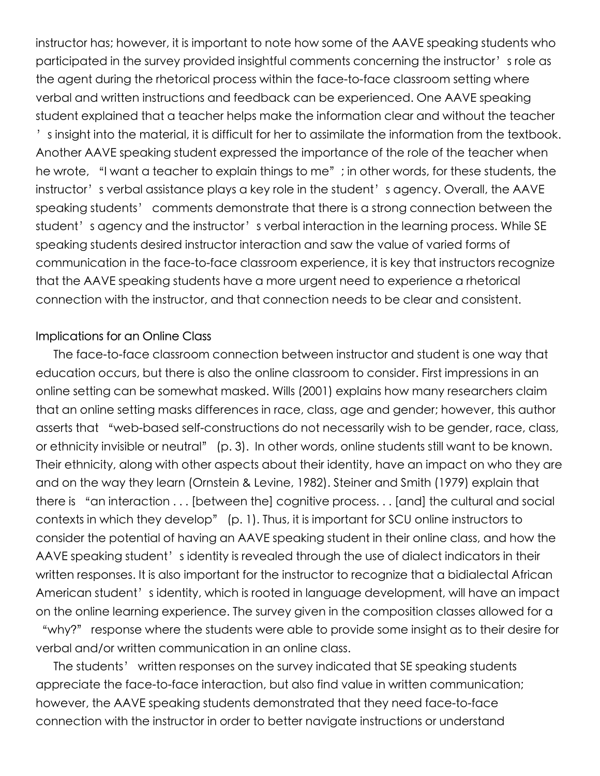instructor has; however, it is important to note how some of the AAVE speaking students who participated in the survey provided insightful comments concerning the instructor's role as the agent during the rhetorical process within the face-to-face classroom setting where verbal and written instructions and feedback can be experienced. One AAVE speaking student explained that a teacher helps make the information clear and without the teacher 's insight into the material, it is difficult for her to assimilate the information from the textbook. Another AAVE speaking student expressed the importance of the role of the teacher when he wrote, "I want a teacher to explain things to me"; in other words, for these students, the instructor's verbal assistance plays a key role in the student's agency. Overall, the AAVE speaking students' comments demonstrate that there is a strong connection between the student's agency and the instructor's verbal interaction in the learning process. While SE speaking students desired instructor interaction and saw the value of varied forms of communication in the face-to-face classroom experience, it is key that instructors recognize that the AAVE speaking students have a more urgent need to experience a rhetorical connection with the instructor, and that connection needs to be clear and consistent.

#### Implications for an Online Class

The face-to-face classroom connection between instructor and student is one way that education occurs, but there is also the online classroom to consider. First impressions in an online setting can be somewhat masked. Wills (2001) explains how many researchers claim that an online setting masks differences in race, class, age and gender; however, this author asserts that "web-based self-constructions do not necessarily wish to be gender, race, class, or ethnicity invisible or neutral" (p. 3). In other words, online students still want to be known. Their ethnicity, along with other aspects about their identity, have an impact on who they are and on the way they learn (Ornstein & Levine, 1982). Steiner and Smith (1979) explain that there is "an interaction . . . [between the] cognitive process. . . [and] the cultural and social contexts in which they develop" (p. 1). Thus, it is important for SCU online instructors to consider the potential of having an AAVE speaking student in their online class, and how the AAVE speaking student's identity is revealed through the use of dialect indicators in their written responses. It is also important for the instructor to recognize that a bidialectal African American student's identity, which is rooted in language development, will have an impact on the online learning experience. The survey given in the composition classes allowed for a

"why?" response where the students were able to provide some insight as to their desire for verbal and/or written communication in an online class.

The students' written responses on the survey indicated that SE speaking students appreciate the face-to-face interaction, but also find value in written communication; however, the AAVE speaking students demonstrated that they need face-to-face connection with the instructor in order to better navigate instructions or understand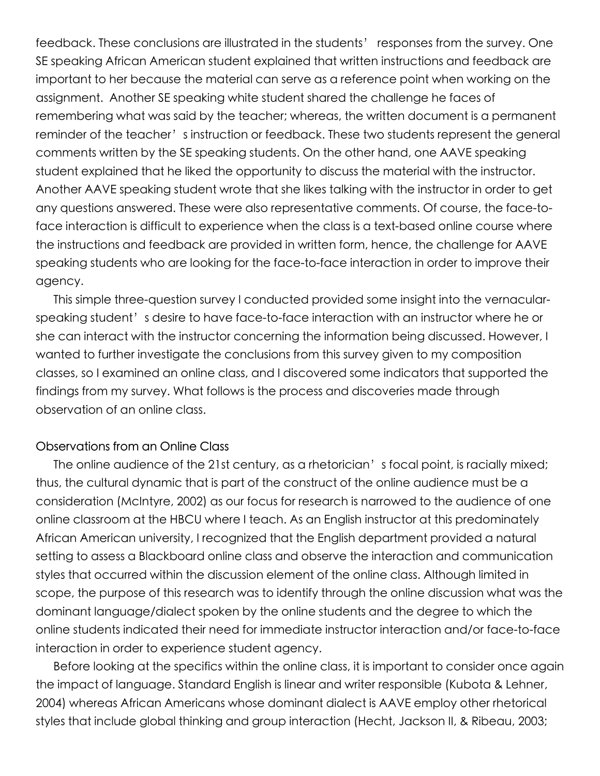feedback. These conclusions are illustrated in the students' responses from the survey. One SE speaking African American student explained that written instructions and feedback are important to her because the material can serve as a reference point when working on the assignment. Another SE speaking white student shared the challenge he faces of remembering what was said by the teacher; whereas, the written document is a permanent reminder of the teacher's instruction or feedback. These two students represent the general comments written by the SE speaking students. On the other hand, one AAVE speaking student explained that he liked the opportunity to discuss the material with the instructor. Another AAVE speaking student wrote that she likes talking with the instructor in order to get any questions answered. These were also representative comments. Of course, the face-toface interaction is difficult to experience when the class is a text-based online course where the instructions and feedback are provided in written form, hence, the challenge for AAVE speaking students who are looking for the face-to-face interaction in order to improve their agency.

This simple three-question survey I conducted provided some insight into the vernacularspeaking student's desire to have face-to-face interaction with an instructor where he or she can interact with the instructor concerning the information being discussed. However, I wanted to further investigate the conclusions from this survey given to my composition classes, so I examined an online class, and I discovered some indicators that supported the findings from my survey. What follows is the process and discoveries made through observation of an online class.

#### Observations from an Online Class

The online audience of the 21st century, as a rhetorician's focal point, is racially mixed; thus, the cultural dynamic that is part of the construct of the online audience must be a consideration (McIntyre, 2002) as our focus for research is narrowed to the audience of one online classroom at the HBCU where I teach. As an English instructor at this predominately African American university, I recognized that the English department provided a natural setting to assess a Blackboard online class and observe the interaction and communication styles that occurred within the discussion element of the online class. Although limited in scope, the purpose of this research was to identify through the online discussion what was the dominant language/dialect spoken by the online students and the degree to which the online students indicated their need for immediate instructor interaction and/or face-to-face interaction in order to experience student agency.

Before looking at the specifics within the online class, it is important to consider once again the impact of language. Standard English is linear and writer responsible (Kubota & Lehner, 2004) whereas African Americans whose dominant dialect is AAVE employ other rhetorical styles that include global thinking and group interaction (Hecht, Jackson II, & Ribeau, 2003;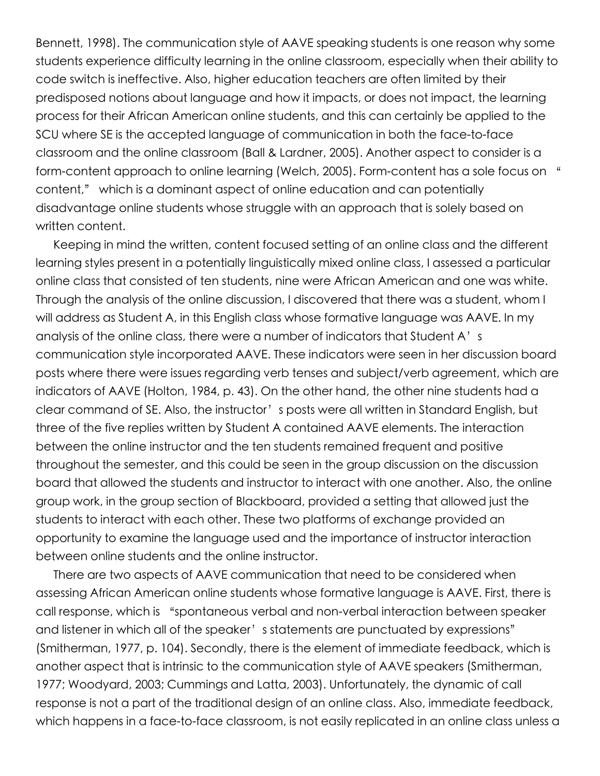Bennett, 1998). The communication style of AAVE speaking students is one reason why some students experience difficulty learning in the online classroom, especially when their ability to code switch is ineffective. Also, higher education teachers are often limited by their predisposed notions about language and how it impacts, or does not impact, the learning process for their African American online students, and this can certainly be applied to the SCU where SE is the accepted language of communication in both the face-to-face classroom and the online classroom (Ball & Lardner, 2005). Another aspect to consider is a form-content approach to online learning (Welch, 2005). Form-content has a sole focus on " content," which is a dominant aspect of online education and can potentially disadvantage online students whose struggle with an approach that is solely based on written content.

Keeping in mind the written, content focused setting of an online class and the different learning styles present in a potentially linguistically mixed online class, I assessed a particular online class that consisted of ten students, nine were African American and one was white. Through the analysis of the online discussion, I discovered that there was a student, whom I will address as Student A, in this English class whose formative language was AAVE. In my analysis of the online class, there were a number of indicators that Student A's communication style incorporated AAVE. These indicators were seen in her discussion board posts where there were issues regarding verb tenses and subject/verb agreement, which are indicators of AAVE (Holton, 1984, p. 43). On the other hand, the other nine students had a clear command of SE. Also, the instructor's posts were all written in Standard English, but three of the five replies written by Student A contained AAVE elements. The interaction between the online instructor and the ten students remained frequent and positive throughout the semester, and this could be seen in the group discussion on the discussion board that allowed the students and instructor to interact with one another. Also, the online group work, in the group section of Blackboard, provided a setting that allowed just the students to interact with each other. These two platforms of exchange provided an opportunity to examine the language used and the importance of instructor interaction between online students and the online instructor.

There are two aspects of AAVE communication that need to be considered when assessing African American online students whose formative language is AAVE. First, there is call response, which is "spontaneous verbal and non-verbal interaction between speaker and listener in which all of the speaker's statements are punctuated by expressions" (Smitherman, 1977, p. 104). Secondly, there is the element of immediate feedback, which is another aspect that is intrinsic to the communication style of AAVE speakers (Smitherman, 1977; Woodyard, 2003; Cummings and Latta, 2003). Unfortunately, the dynamic of call response is not a part of the traditional design of an online class. Also, immediate feedback, which happens in a face-to-face classroom, is not easily replicated in an online class unless a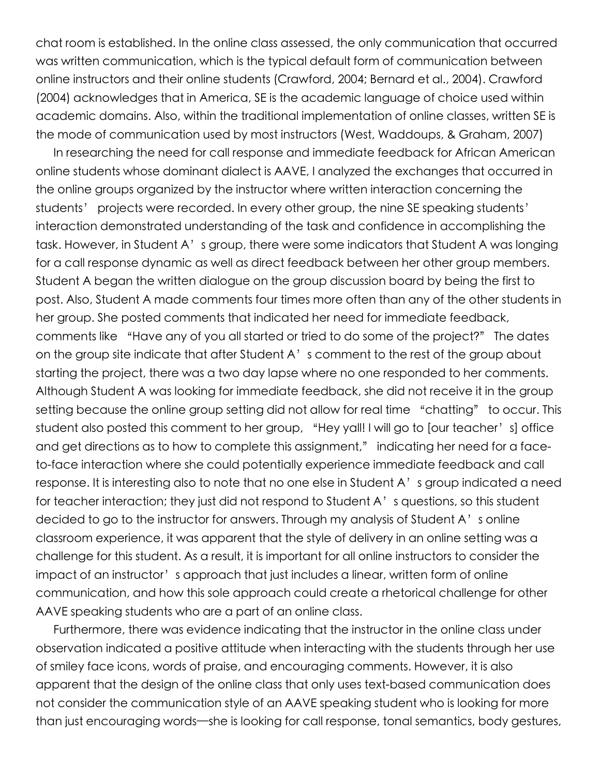chat room is established. In the online class assessed, the only communication that occurred was written communication, which is the typical default form of communication between online instructors and their online students (Crawford, 2004; Bernard et al., 2004). Crawford (2004) acknowledges that in America, SE is the academic language of choice used within academic domains. Also, within the traditional implementation of online classes, written SE is the mode of communication used by most instructors (West, Waddoups, & Graham, 2007)

In researching the need for call response and immediate feedback for African American online students whose dominant dialect is AAVE, I analyzed the exchanges that occurred in the online groups organized by the instructor where written interaction concerning the students' projects were recorded. In every other group, the nine SE speaking students' interaction demonstrated understanding of the task and confidence in accomplishing the task. However, in Student A's group, there were some indicators that Student A was longing for a call response dynamic as well as direct feedback between her other group members. Student A began the written dialogue on the group discussion board by being the first to post. Also, Student A made comments four times more often than any of the other students in her group. She posted comments that indicated her need for immediate feedback, comments like "Have any of you all started or tried to do some of the project?" The dates on the group site indicate that after Student A's comment to the rest of the group about starting the project, there was a two day lapse where no one responded to her comments. Although Student A was looking for immediate feedback, she did not receive it in the group setting because the online group setting did not allow for real time "chatting" to occur. This student also posted this comment to her group, "Hey yall! I will go to [our teacher's] office and get directions as to how to complete this assignment," indicating her need for a faceto-face interaction where she could potentially experience immediate feedback and call response. It is interesting also to note that no one else in Student A's group indicated a need for teacher interaction; they just did not respond to Student A's questions, so this student decided to go to the instructor for answers. Through my analysis of Student A's online classroom experience, it was apparent that the style of delivery in an online setting was a challenge for this student. As a result, it is important for all online instructors to consider the impact of an instructor's approach that just includes a linear, written form of online communication, and how this sole approach could create a rhetorical challenge for other AAVE speaking students who are a part of an online class.

Furthermore, there was evidence indicating that the instructor in the online class under observation indicated a positive attitude when interacting with the students through her use of smiley face icons, words of praise, and encouraging comments. However, it is also apparent that the design of the online class that only uses text-based communication does not consider the communication style of an AAVE speaking student who is looking for more than just encouraging words—she is looking for call response, tonal semantics, body gestures,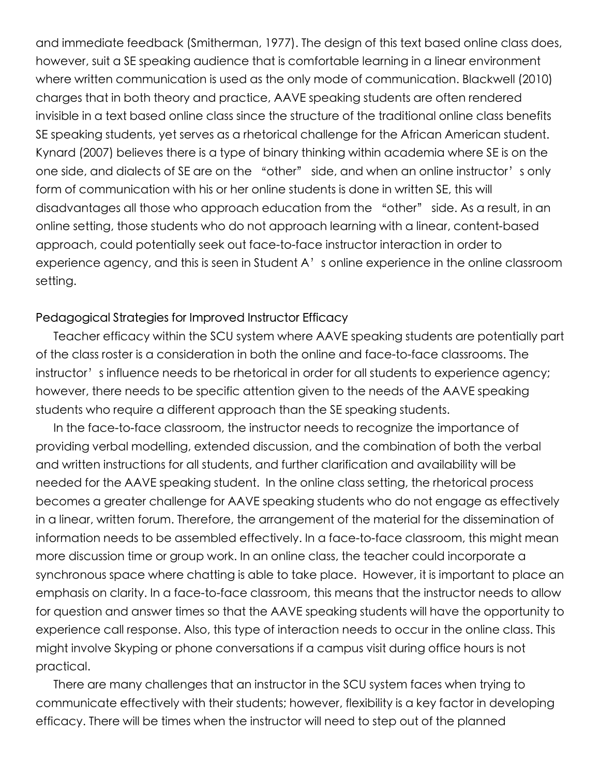and immediate feedback (Smitherman, 1977). The design of this text based online class does, however, suit a SE speaking audience that is comfortable learning in a linear environment where written communication is used as the only mode of communication. Blackwell (2010) charges that in both theory and practice, AAVE speaking students are often rendered invisible in a text based online class since the structure of the traditional online class benefits SE speaking students, yet serves as a rhetorical challenge for the African American student. Kynard (2007) believes there is a type of binary thinking within academia where SE is on the one side, and dialects of SE are on the "other" side, and when an online instructor's only form of communication with his or her online students is done in written SE, this will disadvantages all those who approach education from the "other" side. As a result, in an online setting, those students who do not approach learning with a linear, content-based approach, could potentially seek out face-to-face instructor interaction in order to experience agency, and this is seen in Student A's online experience in the online classroom setting.

#### Pedagogical Strategies for Improved Instructor Efficacy

Teacher efficacy within the SCU system where AAVE speaking students are potentially part of the class roster is a consideration in both the online and face-to-face classrooms. The instructor's influence needs to be rhetorical in order for all students to experience agency; however, there needs to be specific attention given to the needs of the AAVE speaking students who require a different approach than the SE speaking students.

In the face-to-face classroom, the instructor needs to recognize the importance of providing verbal modelling, extended discussion, and the combination of both the verbal and written instructions for all students, and further clarification and availability will be needed for the AAVE speaking student. In the online class setting, the rhetorical process becomes a greater challenge for AAVE speaking students who do not engage as effectively in a linear, written forum. Therefore, the arrangement of the material for the dissemination of information needs to be assembled effectively. In a face-to-face classroom, this might mean more discussion time or group work. In an online class, the teacher could incorporate a synchronous space where chatting is able to take place. However, it is important to place an emphasis on clarity. In a face-to-face classroom, this means that the instructor needs to allow for question and answer times so that the AAVE speaking students will have the opportunity to experience call response. Also, this type of interaction needs to occur in the online class. This might involve Skyping or phone conversations if a campus visit during office hours is not practical.

There are many challenges that an instructor in the SCU system faces when trying to communicate effectively with their students; however, flexibility is a key factor in developing efficacy. There will be times when the instructor will need to step out of the planned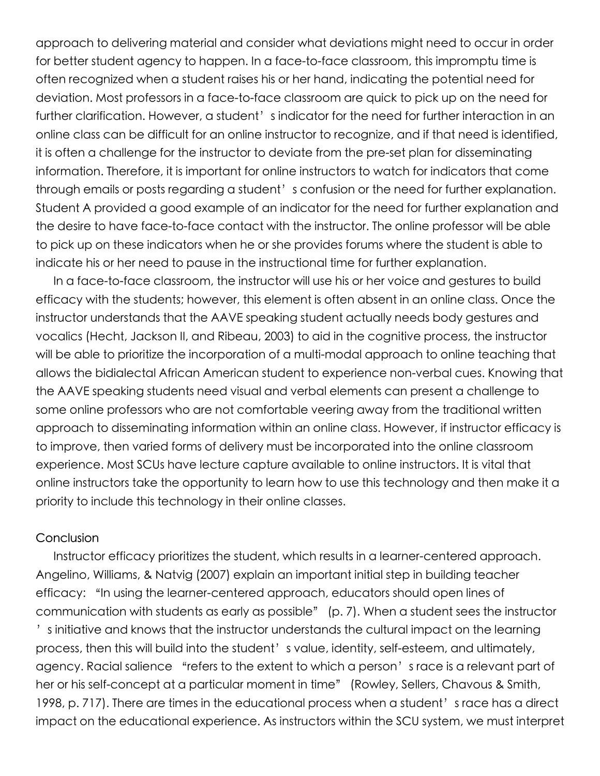approach to delivering material and consider what deviations might need to occur in order for better student agency to happen. In a face-to-face classroom, this impromptu time is often recognized when a student raises his or her hand, indicating the potential need for deviation. Most professors in a face-to-face classroom are quick to pick up on the need for further clarification. However, a student's indicator for the need for further interaction in an online class can be difficult for an online instructor to recognize, and if that need is identified, it is often a challenge for the instructor to deviate from the pre-set plan for disseminating information. Therefore, it is important for online instructors to watch for indicators that come through emails or posts regarding a student's confusion or the need for further explanation. Student A provided a good example of an indicator for the need for further explanation and the desire to have face-to-face contact with the instructor. The online professor will be able to pick up on these indicators when he or she provides forums where the student is able to indicate his or her need to pause in the instructional time for further explanation.

In a face-to-face classroom, the instructor will use his or her voice and gestures to build efficacy with the students; however, this element is often absent in an online class. Once the instructor understands that the AAVE speaking student actually needs body gestures and vocalics (Hecht, Jackson II, and Ribeau, 2003) to aid in the cognitive process, the instructor will be able to prioritize the incorporation of a multi-modal approach to online teaching that allows the bidialectal African American student to experience non-verbal cues. Knowing that the AAVE speaking students need visual and verbal elements can present a challenge to some online professors who are not comfortable veering away from the traditional written approach to disseminating information within an online class. However, if instructor efficacy is to improve, then varied forms of delivery must be incorporated into the online classroom experience. Most SCUs have lecture capture available to online instructors. It is vital that online instructors take the opportunity to learn how to use this technology and then make it a priority to include this technology in their online classes.

#### **Conclusion**

Instructor efficacy prioritizes the student, which results in a learner-centered approach. Angelino, Williams, & Natvig (2007) explain an important initial step in building teacher efficacy: "In using the learner-centered approach, educators should open lines of communication with students as early as possible" (p. 7). When a student sees the instructor 's initiative and knows that the instructor understands the cultural impact on the learning process, then this will build into the student' s value, identity, self-esteem, and ultimately, agency. Racial salience "refers to the extent to which a person's race is a relevant part of her or his self-concept at a particular moment in time" (Rowley, Sellers, Chavous & Smith, 1998, p. 717). There are times in the educational process when a student's race has a direct impact on the educational experience. As instructors within the SCU system, we must interpret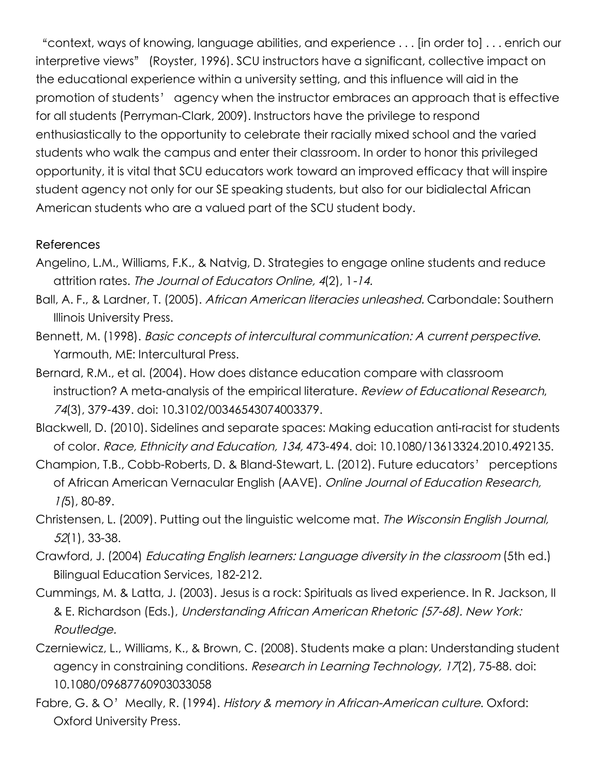"context, ways of knowing, language abilities, and experience . . . [in order to] . . . enrich our interpretive views" (Royster, 1996). SCU instructors have a significant, collective impact on the educational experience within a university setting, and this influence will aid in the promotion of students' agency when the instructor embraces an approach that is effective for all students (Perryman-Clark, 2009). Instructors have the privilege to respond enthusiastically to the opportunity to celebrate their racially mixed school and the varied students who walk the campus and enter their classroom. In order to honor this privileged opportunity, it is vital that SCU educators work toward an improved efficacy that will inspire student agency not only for our SE speaking students, but also for our bidialectal African American students who are a valued part of the SCU student body.

### References

- Angelino, L.M., Williams, F.K., & Natvig, D. Strategies to engage online students and reduce attrition rates. The Journal of Educators Online, 4(2), 1-14.
- Ball, A. F., & Lardner, T. (2005). African American literacies unleashed. Carbondale: Southern Illinois University Press.
- Bennett, M. (1998). Basic concepts of intercultural communication: A current perspective. Yarmouth, ME: Intercultural Press.
- Bernard, R.M., et al. (2004). How does distance education compare with classroom instruction? A meta-analysis of the empirical literature. Review of Educational Research, 74(3), 379-439. doi: 10.3102/00346543074003379.
- Blackwell, D. (2010). Sidelines and separate spaces: Making education anti-racist for students of color. Race, Ethnicity and Education, 134, 473-494. doi: 10.1080/13613324.2010.492135.
- Champion, T.B., Cobb-Roberts, D. & Bland-Stewart, L. (2012). Future educators' perceptions of African American Vernacular English (AAVE). Online Journal of Education Research, 1(5), 80-89.
- Christensen, L. (2009). Putting out the linguistic welcome mat. The Wisconsin English Journal, 52(1), 33-38.
- Crawford, J. (2004) Educating English learners: Language diversity in the classroom (5th ed.) Bilingual Education Services, 182-212.
- Cummings, M. & Latta, J. (2003). Jesus is a rock: Spirituals as lived experience. In R. Jackson, II & E. Richardson (Eds.), Understanding African American Rhetoric (57-68). New York: Routledge.
- Czerniewicz, L., Williams, K., & Brown, C. (2008). Students make a plan: Understanding student agency in constraining conditions. Research in Learning Technology, 17(2), 75-88. doi: 10.1080/09687760903033058
- Fabre, G. & O' Meally, R. (1994). History & memory in African-American culture. Oxford: Oxford University Press.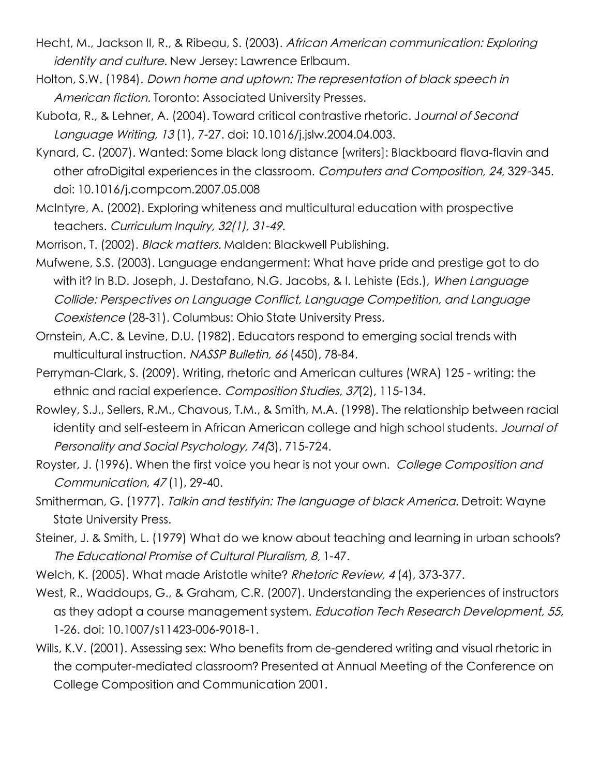- Hecht, M., Jackson II, R., & Ribeau, S. (2003). African American communication: Exploring identity and culture. New Jersey: Lawrence Erlbaum.
- Holton, S.W. (1984). Down home and uptown: The representation of black speech in American fiction. Toronto: Associated University Presses.
- Kubota, R., & Lehner, A. (2004). Toward critical contrastive rhetoric. Journal of Second Language Writing, 13 (1), 7-27. doi: 10.1016/j.jslw.2004.04.003.
- Kynard, C. (2007). Wanted: Some black long distance [writers]: Blackboard flava-flavin and other afroDigital experiences in the classroom. Computers and Composition, 24, 329-345. doi: 10.1016/j.compcom.2007.05.008
- McIntyre, A. (2002). Exploring whiteness and multicultural education with prospective teachers. Curriculum Inquiry, 32(1), 31-49.
- Morrison, T. (2002). *Black matters.* Malden: Blackwell Publishing.
- Mufwene, S.S. (2003). Language endangerment: What have pride and prestige got to do with it? In B.D. Joseph, J. Destafano, N.G. Jacobs, & I. Lehiste (Eds.), When Language Collide: Perspectives on Language Conflict, Language Competition, and Language Coexistence (28-31). Columbus: Ohio State University Press.
- Ornstein, A.C. & Levine, D.U. (1982). Educators respond to emerging social trends with multicultural instruction. NASSP Bulletin, 66 (450), 78-84.
- Perryman-Clark, S. (2009). Writing, rhetoric and American cultures (WRA) 125 writing: the ethnic and racial experience. Composition Studies, 37(2), 115-134.
- Rowley, S.J., Sellers, R.M., Chavous, T.M., & Smith, M.A. (1998). The relationship between racial identity and self-esteem in African American college and high school students. Journal of Personality and Social Psychology, 74(3), 715-724.
- Royster, J. (1996). When the first voice you hear is not your own. College Composition and Communication, 47 (1), 29-40.
- Smitherman, G. (1977). *Talkin and testifyin: The language of black America.* Detroit: Wayne State University Press.
- Steiner, J. & Smith, L. (1979) What do we know about teaching and learning in urban schools? The Educational Promise of Cultural Pluralism, 8, 1-47.
- Welch, K. (2005). What made Aristotle white? Rhetoric Review, 4(4), 373-377.
- West, R., Waddoups, G., & Graham, C.R. (2007). Understanding the experiences of instructors as they adopt a course management system. Education Tech Research Development, 55, 1-26. doi: 10.1007/s11423-006-9018-1.
- Wills, K.V. (2001). Assessing sex: Who benefits from de-gendered writing and visual rhetoric in the computer-mediated classroom? Presented at Annual Meeting of the Conference on College Composition and Communication 2001.